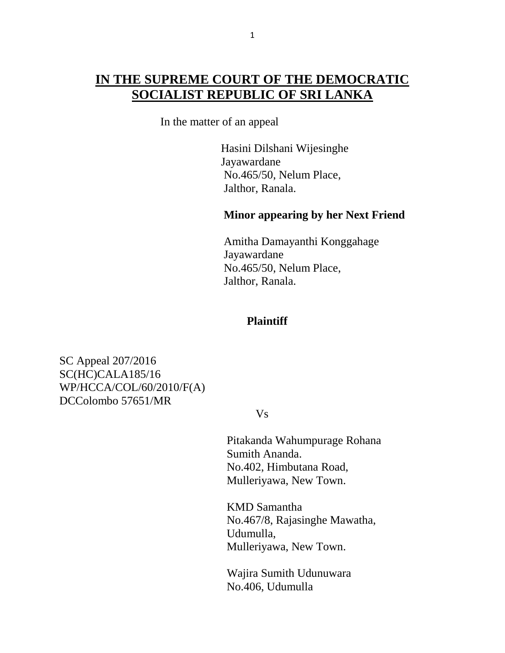# **IN THE SUPREME COURT OF THE DEMOCRATIC SOCIALIST REPUBLIC OF SRI LANKA**

In the matter of an appeal

 Hasini Dilshani Wijesinghe Jayawardane No.465/50, Nelum Place, Jalthor, Ranala.

### **Minor appearing by her Next Friend**

 Amitha Damayanthi Konggahage Jayawardane No.465/50, Nelum Place, Jalthor, Ranala.

### **Plaintiff**

SC Appeal 207/2016 SC(HC)CALA185/16 WP/HCCA/COL/60/2010/F(A) DCColombo 57651/MR

#### Vs

 Pitakanda Wahumpurage Rohana Sumith Ananda. No.402, Himbutana Road, Mulleriyawa, New Town.

 KMD Samantha No.467/8, Rajasinghe Mawatha, Udumulla, Mulleriyawa, New Town.

 Wajira Sumith Udunuwara No.406, Udumulla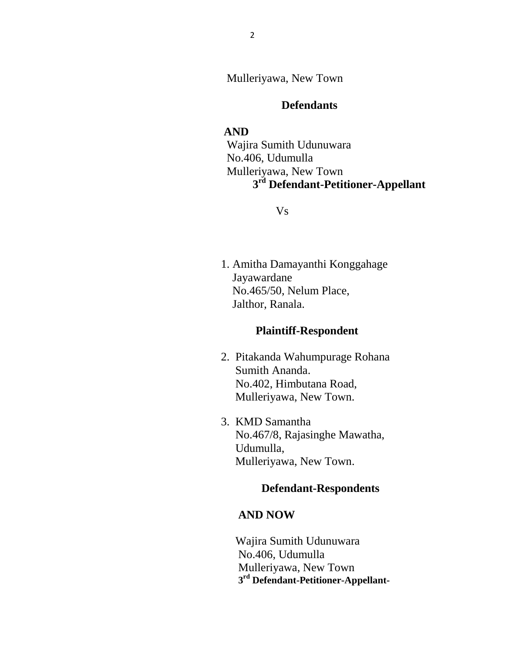Mulleriyawa, New Town

### **Defendants**

#### **AND**

 Wajira Sumith Udunuwara No.406, Udumulla Mulleriyawa, New Town  **3 rd Defendant-Petitioner-Appellant**

Vs

 1. Amitha Damayanthi Konggahage Jayawardane No.465/50, Nelum Place, Jalthor, Ranala.

#### **Plaintiff-Respondent**

- 2. Pitakanda Wahumpurage Rohana Sumith Ananda. No.402, Himbutana Road, Mulleriyawa, New Town.
- 3. KMD Samantha No.467/8, Rajasinghe Mawatha, Udumulla, Mulleriyawa, New Town.

## **Defendant-Respondents**

#### **AND NOW**

 Wajira Sumith Udunuwara No.406, Udumulla Mulleriyawa, New Town  **3 rd Defendant-Petitioner-Appellant-**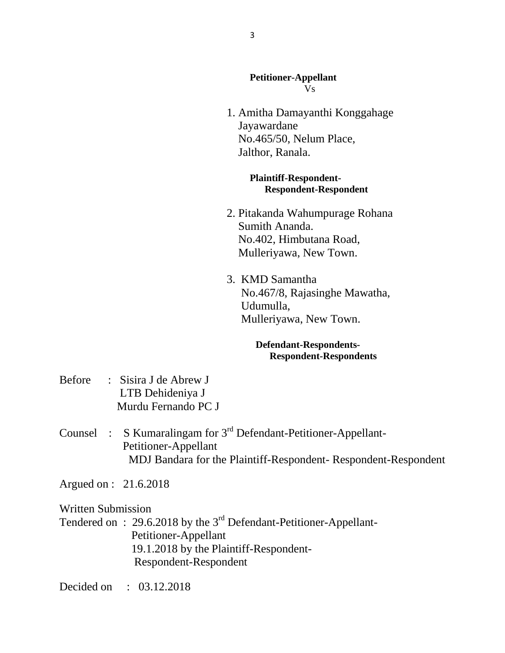#### **Petitioner-Appellant** Vs

 1. Amitha Damayanthi Konggahage Jayawardane No.465/50, Nelum Place, Jalthor, Ranala.

#### **Plaintiff-Respondent- Respondent-Respondent**

- 2. Pitakanda Wahumpurage Rohana Sumith Ananda. No.402, Himbutana Road, Mulleriyawa, New Town.
- 3. KMD Samantha No.467/8, Rajasinghe Mawatha, Udumulla, Mulleriyawa, New Town.

#### **Defendant-Respondents- Respondent-Respondents**

- Before : Sisira J de Abrew J LTB Dehideniya J Murdu Fernando PC J
- Counsel : S Kumaralingam for  $3^{rd}$  Defendant-Petitioner-Appellant- Petitioner-Appellant MDJ Bandara for the Plaintiff-Respondent- Respondent-Respondent

Argued on : 21.6.2018

Written Submission

Tendered on : 29.6.2018 by the  $3<sup>rd</sup>$  Defendant-Petitioner-Appellant- Petitioner-Appellant 19.1.2018 by the Plaintiff-Respondent- Respondent-Respondent

Decided on : 03.12.2018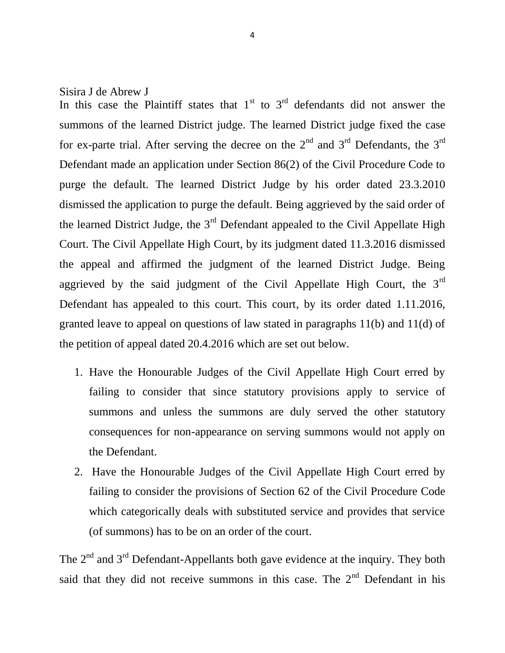Sisira J de Abrew J

In this case the Plaintiff states that  $1<sup>st</sup>$  to  $3<sup>rd</sup>$  defendants did not answer the summons of the learned District judge. The learned District judge fixed the case for ex-parte trial. After serving the decree on the  $2<sup>nd</sup>$  and  $3<sup>rd</sup>$  Defendants, the  $3<sup>rd</sup>$ Defendant made an application under Section 86(2) of the Civil Procedure Code to purge the default. The learned District Judge by his order dated 23.3.2010 dismissed the application to purge the default. Being aggrieved by the said order of the learned District Judge, the  $3<sup>rd</sup>$  Defendant appealed to the Civil Appellate High Court. The Civil Appellate High Court, by its judgment dated 11.3.2016 dismissed the appeal and affirmed the judgment of the learned District Judge. Being aggrieved by the said judgment of the Civil Appellate High Court, the  $3<sup>rd</sup>$ Defendant has appealed to this court. This court, by its order dated 1.11.2016, granted leave to appeal on questions of law stated in paragraphs 11(b) and 11(d) of the petition of appeal dated 20.4.2016 which are set out below.

- 1. Have the Honourable Judges of the Civil Appellate High Court erred by failing to consider that since statutory provisions apply to service of summons and unless the summons are duly served the other statutory consequences for non-appearance on serving summons would not apply on the Defendant.
- 2. Have the Honourable Judges of the Civil Appellate High Court erred by failing to consider the provisions of Section 62 of the Civil Procedure Code which categorically deals with substituted service and provides that service (of summons) has to be on an order of the court.

The  $2^{nd}$  and  $3^{rd}$  Defendant-Appellants both gave evidence at the inquiry. They both said that they did not receive summons in this case. The  $2<sup>nd</sup>$  Defendant in his

4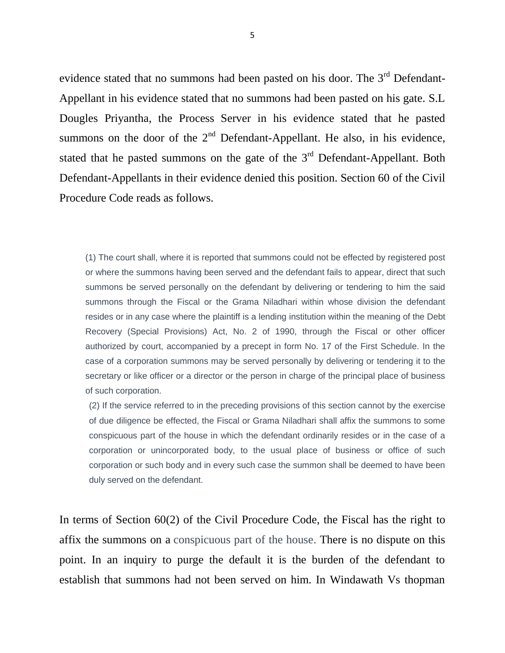evidence stated that no summons had been pasted on his door. The  $3<sup>rd</sup>$  Defendant-Appellant in his evidence stated that no summons had been pasted on his gate. S.L Dougles Priyantha, the Process Server in his evidence stated that he pasted summons on the door of the  $2<sup>nd</sup>$  Defendant-Appellant. He also, in his evidence, stated that he pasted summons on the gate of the  $3<sup>rd</sup>$  Defendant-Appellant. Both Defendant-Appellants in their evidence denied this position. Section 60 of the Civil Procedure Code reads as follows.

(1) The court shall, where it is reported that summons could not be effected by registered post or where the summons having been served and the defendant fails to appear, direct that such summons be served personally on the defendant by delivering or tendering to him the said summons through the Fiscal or the Grama Niladhari within whose division the defendant resides or in any case where the plaintiff is a lending institution within the meaning of the Debt Recovery (Special Provisions) Act, No. 2 of 1990, through the Fiscal or other officer authorized by court, accompanied by a precept in form No. 17 of the First Schedule. In the case of a corporation summons may be served personally by delivering or tendering it to the secretary or like officer or a director or the person in charge of the principal place of business of such corporation.

(2) If the service referred to in the preceding provisions of this section cannot by the exercise of due diligence be effected, the Fiscal or Grama Niladhari shall affix the summons to some conspicuous part of the house in which the defendant ordinarily resides or in the case of a corporation or unincorporated body, to the usual place of business or office of such corporation or such body and in every such case the summon shall be deemed to have been duly served on the defendant.

In terms of Section 60(2) of the Civil Procedure Code, the Fiscal has the right to affix the summons on a conspicuous part of the house. There is no dispute on this point. In an inquiry to purge the default it is the burden of the defendant to establish that summons had not been served on him. In Windawath Vs thopman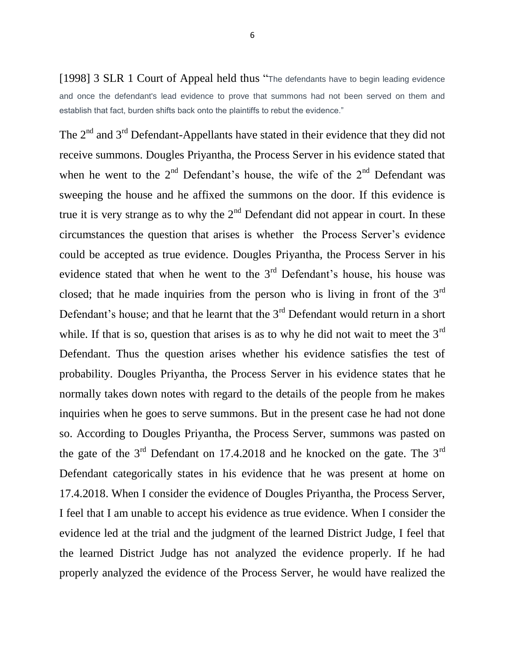[1998] 3 SLR 1 Court of Appeal held thus "The defendants have to begin leading evidence and once the defendant's lead evidence to prove that summons had not been served on them and establish that fact, burden shifts back onto the plaintiffs to rebut the evidence."

The  $2<sup>nd</sup>$  and  $3<sup>rd</sup>$  Defendant-Appellants have stated in their evidence that they did not receive summons. Dougles Priyantha, the Process Server in his evidence stated that when he went to the  $2<sup>nd</sup>$  Defendant's house, the wife of the  $2<sup>nd</sup>$  Defendant was sweeping the house and he affixed the summons on the door. If this evidence is true it is very strange as to why the  $2<sup>nd</sup>$  Defendant did not appear in court. In these circumstances the question that arises is whether the Process Server's evidence could be accepted as true evidence. Dougles Priyantha, the Process Server in his evidence stated that when he went to the  $3<sup>rd</sup>$  Defendant's house, his house was closed; that he made inquiries from the person who is living in front of the  $3<sup>rd</sup>$ Defendant's house; and that he learnt that the  $3<sup>rd</sup>$  Defendant would return in a short while. If that is so, question that arises is as to why he did not wait to meet the  $3<sup>rd</sup>$ Defendant. Thus the question arises whether his evidence satisfies the test of probability. Dougles Priyantha, the Process Server in his evidence states that he normally takes down notes with regard to the details of the people from he makes inquiries when he goes to serve summons. But in the present case he had not done so. According to Dougles Priyantha, the Process Server, summons was pasted on the gate of the  $3<sup>rd</sup>$  Defendant on 17.4.2018 and he knocked on the gate. The  $3<sup>rd</sup>$ Defendant categorically states in his evidence that he was present at home on 17.4.2018. When I consider the evidence of Dougles Priyantha, the Process Server, I feel that I am unable to accept his evidence as true evidence. When I consider the evidence led at the trial and the judgment of the learned District Judge, I feel that the learned District Judge has not analyzed the evidence properly. If he had properly analyzed the evidence of the Process Server, he would have realized the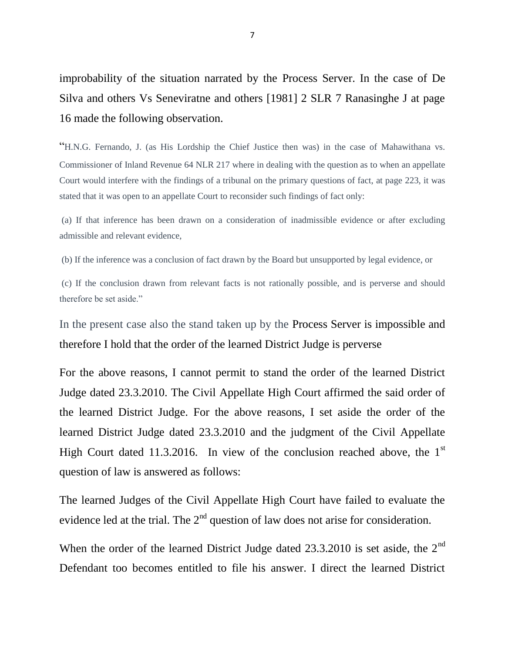improbability of the situation narrated by the Process Server. In the case of De Silva and others Vs Seneviratne and others [1981] 2 SLR 7 Ranasinghe J at page 16 made the following observation.

"H.N.G. Fernando, J. (as His Lordship the Chief Justice then was) in the case of Mahawithana vs. Commissioner of Inland Revenue 64 NLR 217 where in dealing with the question as to when an appellate Court would interfere with the findings of a tribunal on the primary questions of fact, at page 223, it was stated that it was open to an appellate Court to reconsider such findings of fact only:

(a) If that inference has been drawn on a consideration of inadmissible evidence or after excluding admissible and relevant evidence,

(b) If the inference was a conclusion of fact drawn by the Board but unsupported by legal evidence, or

(c) If the conclusion drawn from relevant facts is not rationally possible, and is perverse and should therefore be set aside."

In the present case also the stand taken up by the Process Server is impossible and therefore I hold that the order of the learned District Judge is perverse

For the above reasons, I cannot permit to stand the order of the learned District Judge dated 23.3.2010. The Civil Appellate High Court affirmed the said order of the learned District Judge. For the above reasons, I set aside the order of the learned District Judge dated 23.3.2010 and the judgment of the Civil Appellate High Court dated 11.3.2016. In view of the conclusion reached above, the  $1<sup>st</sup>$ question of law is answered as follows:

The learned Judges of the Civil Appellate High Court have failed to evaluate the evidence led at the trial. The  $2<sup>nd</sup>$  question of law does not arise for consideration.

When the order of the learned District Judge dated  $23.3.2010$  is set aside, the  $2<sup>nd</sup>$ Defendant too becomes entitled to file his answer. I direct the learned District